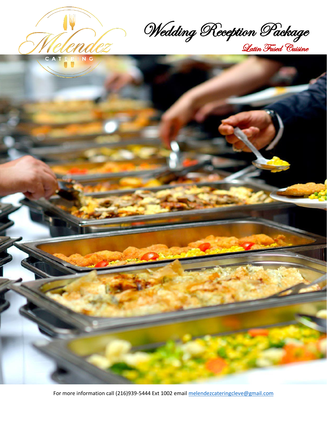

Wedding Reception Package Latin Fused Cuisine



For more information call (216)939-5444 Ext 1002 email [melendezcateringcleve@gmail.com](mailto:melendezcateringcleve@gmail.com)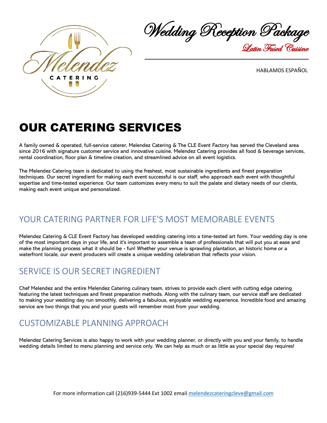

Wedding Reception Package Latin Fused Cuisine

HABLAMOS ESPAÑOL

# OUR CATERING SERVICES

A family owned & operated, full-service caterer, Melendez Catering & The CLE Event Factory has served the Cleveland area since 2016 with signature customer service and innovative cuisine. Melendez Catering provides all food & beverage services, rental coordination, floor plan & timeline creation, and streamlined advice on all event logistics.

The Melendez Catering team is dedicated to using the freshest, most sustainable ingredients and finest preparation techniques. Our secret ingredient for making each event successful is our staff, who approach each event with thoughtful expertise and time-tested experience. Our team customizes every menu to suit the palate and dietary needs of our clients, making each event unique and personalized.

## YOUR CATERING PARTNER FOR LIFE'S MOST MEMORABLE EVENTS

Melendez Catering & CLE Event Factory has developed wedding catering into a time-tested art form. Your wedding day is one of the most important days in your life, and it's important to assemble a team of professionals that will put you at ease and make the planning process what it should be - fun! Whether your venue is sprawling plantation, an historic home or a waterfront locale, our event producers will create a unique wedding celebration that reflects your vision.

## SERVICE IS OUR SECRET INGREDIENT

Chef Melendez and the entire Melendez Catering culinary team, strives to provide each client with cutting edge catering featuring the latest techniques and finest preparation methods. Along with the culinary team, our service staff are dedicated to making your wedding day run smoothly, delivering a fabulous, enjoyable wedding experience. Incredible food and amazing service are two things that you and your guests will remember most from your wedding.

## CUSTOMIZABLE PLANNING APPROACH

Melendez Catering Services is also happy to work with your wedding planner, or directly with you and your family, to handle wedding details limited to menu planning and service only. We can help as much or as little as your special day requires!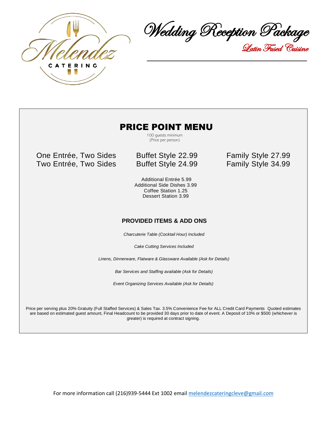

Wedding Reception Package Latin Fused Cuisine

#### PRICE POINT MENU

 100 guests minimum (Price per person)

One Entrée, Two Sides Buffet Style 22.99 Family Style 27.99 Two Entrée, Two Sides Buffet Style 24.99 Family Style 34.99

 Additional Entrée 5.99 Additional Side Dishes 3.99 Coffee Station 1.25 Dessert Station 3.99

#### **PROVIDED ITEMS & ADD ONS**

*Charcuterie Table (Cocktail Hour) Included* 

*Cake Cutting Services Included*

*Linens, Dinnerware, Flatware & Glassware Available (Ask for Details)* 

*Bar Services and Staffing available (Ask for Details)* 

*Event Organizing Services Available (Ask for Details)*

Price per serving plus 20% Gratuity (Full Staffed Services) & Sales Tax. 3.5% Convenience Fee for ALL Credit Card Payments Quoted estimates are based on estimated guest amount, Final Headcount to be provided 30 days prior to date of event. A Deposit of 10% or \$500 (whichever is greater) is required at contract signing.

For more information call (216)939-5444 Ext 1002 email [melendezcateringcleve@gmail.com](mailto:melendezcateringcleve@gmail.com)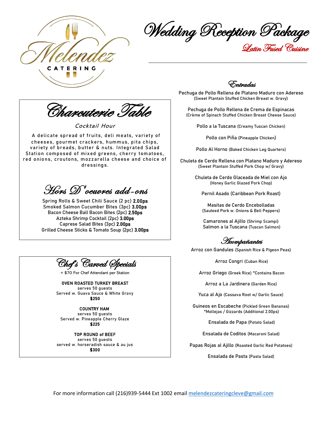

Wedding Reception Package Latin Fused Cuisine

Charcuterie Table

Cocktail Hour

A delicate spread of fruits, deli meats, variety of cheeses, gourmet crackers, hummus, pita chips, variety of breads, butter & nuts. Integrated Salad Station composed of mixed greens, cherry tomatoes, red onions, croutons, mozzarella cheese and choice of dressings.

Hors D'oeuvres add-ons

Spring Rolls & Sweet Chili Sauce (2 pc) 2.00ps Smoked Salmon Cucumber Bites (3pc) 3.00ps Bacon Cheese Ball Bacon Bites (2pc) 2.50ps Azteka Shrimp Cocktail (2pc) 3.00ps Caprese Salad Bites (3pc) 2.00ps Grilled Cheese Sticks & Tomato Soup (2pc) 3.00ps



+ \$70 For Chef Attendant per Station

OVEN ROASTED TURKEY BREAST serves 50 guests Served w. Guava Sauce & White Gravy \$250

COUNTRY HAM

serves 50 guests Served w. Pineapple Cherry Glaze \$225

#### TOP ROUND of BEEF

serves 50 guests served w. horseradish sauce & au jus \$300

Entradas

Pechuga de Pollo Rellena de Platano Maduro con Adereso (Sweet Plantain Stuffed Chicken Breast w. Gravy)

Pechuga de Pollo Rellena de Crema de Espinacas (Crème of Spinach Stuffed Chicken Breast Cheese Sauce)

Pollo a la Tuscana (Creamy Tuscan Chicken)

Pollo con Piña (Pineapple Chicken)

Pollo Al Horno (Baked Chicken Leg Quarters)

Chuleta de Cerdo Rellena con Platano Maduro y Adereso (Sweet Plantain Stuffed Pork Chop w/ Gravy)

> Chuleta de Cerdo Glaceada de Miel con Ajo (Honey Garlic Glazed Pork Chop)

Pernil Asado (Caribbean Pork Roast)

Masitas de Cerdo Encebolladas (Sauteed Pork w. Onions & Bell Peppers)

Camarones al Ajillo (Shrimp Scampi) Salmon a la Tuscana (Tuscan Salmon)

Acompañantes

Arroz con Gandules (Spanish Rice & Pigeon Peas)

Arroz Congri (Cuban Rice)

Arroz Griego (Greek Rice) \*Contains Bacon

Arroz a La Jardinera (Garden Rice)

Yuca al Ajo (Cassava Root w/ Garlic Sauce)

Guineos en Escabeche (Pickled Green Bananas) \*Mollejas / Gizzards (Additional 2.00ps)

Ensalada de Papa (Potato Salad)

Ensalada de Coditos (Macaroni Salad)

Papas Rojas al Ajillo (Roasted Garlic Red Potatoes)

Ensalada de Pasta (Pasta Salad)

For more information call (216)939-5444 Ext 1002 email [melendezcateringcleve@gmail.com](mailto:melendezcateringcleve@gmail.com)